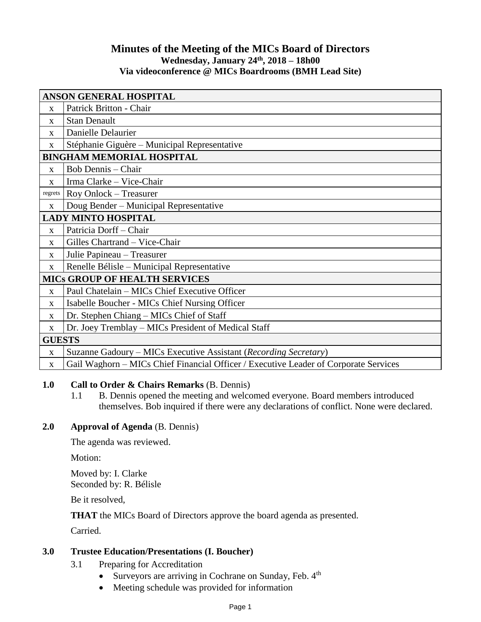# **Minutes of the Meeting of the MICs Board of Directors Wednesday, January 24th, 2018 – 18h00 Via videoconference @ MICs Boardrooms (BMH Lead Site)**

| <b>ANSON GENERAL HOSPITAL</b>        |                                                                                      |
|--------------------------------------|--------------------------------------------------------------------------------------|
| X                                    | Patrick Britton - Chair                                                              |
| $\mathbf X$                          | <b>Stan Denault</b>                                                                  |
| X                                    | Danielle Delaurier                                                                   |
| X                                    | Stéphanie Giguère – Municipal Representative                                         |
| <b>BINGHAM MEMORIAL HOSPITAL</b>     |                                                                                      |
| $\mathbf{X}$                         | <b>Bob Dennis - Chair</b>                                                            |
| $\mathbf{X}$                         | Irma Clarke - Vice-Chair                                                             |
| regrets                              | Roy Onlock - Treasurer                                                               |
| $\mathbf X$                          | Doug Bender – Municipal Representative                                               |
| <b>LADY MINTO HOSPITAL</b>           |                                                                                      |
| X                                    | Patricia Dorff - Chair                                                               |
| $\mathbf{X}$                         | Gilles Chartrand - Vice-Chair                                                        |
| $\mathbf{X}$                         | Julie Papineau - Treasurer                                                           |
| $\mathbf X$                          | Renelle Bélisle – Municipal Representative                                           |
| <b>MICS GROUP OF HEALTH SERVICES</b> |                                                                                      |
| $\mathbf X$                          | Paul Chatelain – MICs Chief Executive Officer                                        |
| X                                    | Isabelle Boucher - MICs Chief Nursing Officer                                        |
| $\mathbf X$                          | Dr. Stephen Chiang - MICs Chief of Staff                                             |
| $\mathbf X$                          | Dr. Joey Tremblay – MICs President of Medical Staff                                  |
| <b>GUESTS</b>                        |                                                                                      |
| $\mathbf{x}$                         | Suzanne Gadoury - MICs Executive Assistant (Recording Secretary)                     |
| $\mathbf X$                          | Gail Waghorn – MICs Chief Financial Officer / Executive Leader of Corporate Services |

# **1.0 Call to Order & Chairs Remarks** (B. Dennis)

1.1 B. Dennis opened the meeting and welcomed everyone. Board members introduced themselves. Bob inquired if there were any declarations of conflict. None were declared.

# **2.0 Approval of Agenda** (B. Dennis)

The agenda was reviewed.

Motion:

Moved by: I. Clarke Seconded by: R. Bélisle

Be it resolved,

**THAT** the MICs Board of Directors approve the board agenda as presented.

Carried.

# **3.0 Trustee Education/Presentations (I. Boucher)**

- 3.1 Preparing for Accreditation
	- Surveyors are arriving in Cochrane on Sunday, Feb.  $4<sup>th</sup>$
	- Meeting schedule was provided for information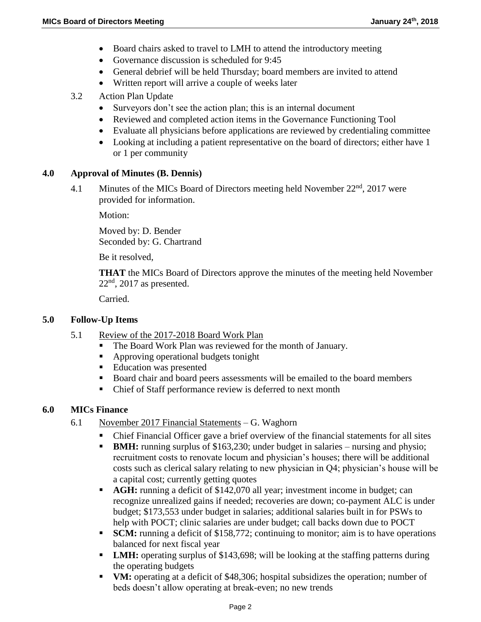- Board chairs asked to travel to LMH to attend the introductory meeting
- Governance discussion is scheduled for 9:45
- General debrief will be held Thursday; board members are invited to attend
- Written report will arrive a couple of weeks later
- 3.2 Action Plan Update
	- Surveyors don't see the action plan; this is an internal document
	- Reviewed and completed action items in the Governance Functioning Tool
	- Evaluate all physicians before applications are reviewed by credentialing committee
	- Looking at including a patient representative on the board of directors; either have 1 or 1 per community

## **4.0 Approval of Minutes (B. Dennis)**

4.1 Minutes of the MICs Board of Directors meeting held November  $22<sup>nd</sup>$ , 2017 were provided for information.

Motion:

Moved by: D. Bender Seconded by: G. Chartrand

Be it resolved,

**THAT** the MICs Board of Directors approve the minutes of the meeting held November  $22<sup>nd</sup>$ , 2017 as presented.

Carried.

## **5.0 Follow-Up Items**

- 5.1 Review of the 2017-2018 Board Work Plan
	- The Board Work Plan was reviewed for the month of January.
	- Approving operational budgets tonight
	- Education was presented
	- Board chair and board peers assessments will be emailed to the board members
	- Chief of Staff performance review is deferred to next month

## **6.0 MICs Finance**

- 6.1 November 2017 Financial Statements G. Waghorn
	- Chief Financial Officer gave a brief overview of the financial statements for all sites
	- **BMH:** running surplus of \$163,230; under budget in salaries nursing and physio; recruitment costs to renovate locum and physician's houses; there will be additional costs such as clerical salary relating to new physician in Q4; physician's house will be a capital cost; currently getting quotes
	- **AGH:** running a deficit of \$142,070 all year; investment income in budget; can recognize unrealized gains if needed; recoveries are down; co-payment ALC is under budget; \$173,553 under budget in salaries; additional salaries built in for PSWs to help with POCT; clinic salaries are under budget; call backs down due to POCT
	- **SCM:** running a deficit of \$158,772; continuing to monitor; aim is to have operations balanced for next fiscal year
	- **LMH:** operating surplus of \$143,698; will be looking at the staffing patterns during the operating budgets
	- **VM:** operating at a deficit of \$48,306; hospital subsidizes the operation; number of beds doesn't allow operating at break-even; no new trends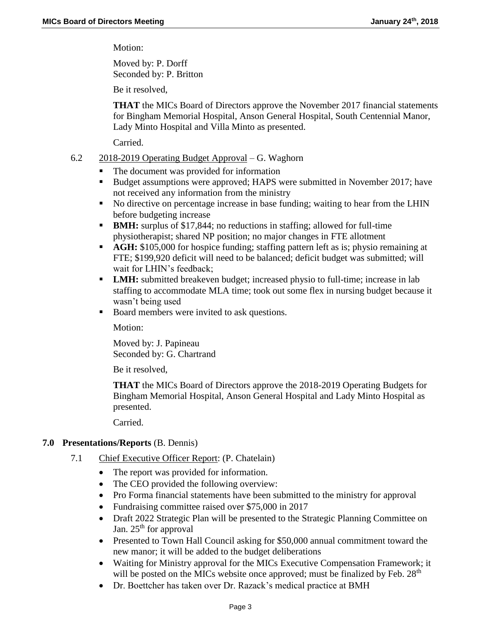Motion:

Moved by: P. Dorff Seconded by: P. Britton

Be it resolved,

**THAT** the MICs Board of Directors approve the November 2017 financial statements for Bingham Memorial Hospital, Anson General Hospital, South Centennial Manor, Lady Minto Hospital and Villa Minto as presented.

Carried.

- 6.2 2018-2019 Operating Budget Approval G. Waghorn
	- The document was provided for information
	- Budget assumptions were approved; HAPS were submitted in November 2017; have not received any information from the ministry
	- No directive on percentage increase in base funding; waiting to hear from the LHIN before budgeting increase
	- **BMH:** surplus of \$17,844; no reductions in staffing; allowed for full-time physiotherapist; shared NP position; no major changes in FTE allotment
	- **AGH:** \$105,000 for hospice funding; staffing pattern left as is; physio remaining at FTE; \$199,920 deficit will need to be balanced; deficit budget was submitted; will wait for LHIN's feedback;
	- **LMH:** submitted breakeven budget; increased physio to full-time; increase in lab staffing to accommodate MLA time; took out some flex in nursing budget because it wasn't being used
	- Board members were invited to ask questions.

Motion:

Moved by: J. Papineau Seconded by: G. Chartrand

Be it resolved,

**THAT** the MICs Board of Directors approve the 2018-2019 Operating Budgets for Bingham Memorial Hospital, Anson General Hospital and Lady Minto Hospital as presented.

Carried.

## **7.0 Presentations/Reports** (B. Dennis)

- 7.1 Chief Executive Officer Report: (P. Chatelain)
	- The report was provided for information.
	- The CEO provided the following overview:
	- Pro Forma financial statements have been submitted to the ministry for approval
	- Fundraising committee raised over \$75,000 in 2017
	- Draft 2022 Strategic Plan will be presented to the Strategic Planning Committee on Jan. 25<sup>th</sup> for approval
	- Presented to Town Hall Council asking for \$50,000 annual commitment toward the new manor; it will be added to the budget deliberations
	- Waiting for Ministry approval for the MICs Executive Compensation Framework; it will be posted on the MICs website once approved; must be finalized by Feb.  $28<sup>th</sup>$
	- Dr. Boettcher has taken over Dr. Razack's medical practice at BMH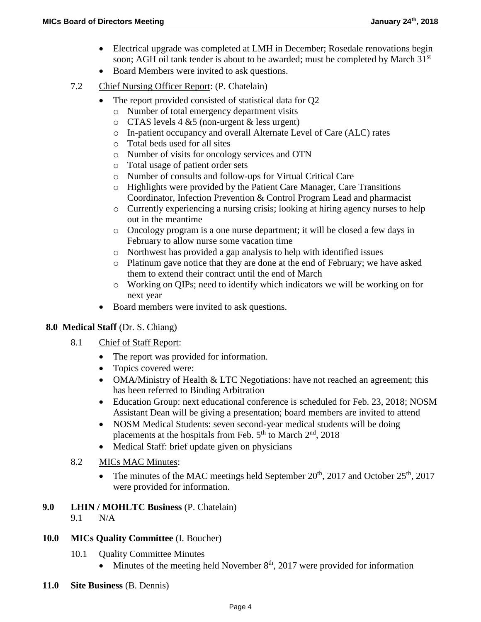- Electrical upgrade was completed at LMH in December; Rosedale renovations begin soon; AGH oil tank tender is about to be awarded; must be completed by March 31<sup>st</sup>
- Board Members were invited to ask questions.
- 7.2 Chief Nursing Officer Report: (P. Chatelain)
	- The report provided consisted of statistical data for Q2
		- o Number of total emergency department visits
		- $\circ$  CTAS levels 4 &5 (non-urgent & less urgent)
		- o In-patient occupancy and overall Alternate Level of Care (ALC) rates
		- o Total beds used for all sites
		- o Number of visits for oncology services and OTN
		- o Total usage of patient order sets
		- o Number of consults and follow-ups for Virtual Critical Care
		- o Highlights were provided by the Patient Care Manager, Care Transitions Coordinator, Infection Prevention & Control Program Lead and pharmacist
		- o Currently experiencing a nursing crisis; looking at hiring agency nurses to help out in the meantime
		- o Oncology program is a one nurse department; it will be closed a few days in February to allow nurse some vacation time
		- o Northwest has provided a gap analysis to help with identified issues
		- o Platinum gave notice that they are done at the end of February; we have asked them to extend their contract until the end of March
		- o Working on QIPs; need to identify which indicators we will be working on for next year
	- Board members were invited to ask questions.

## **8.0 Medical Staff** (Dr. S. Chiang)

- 8.1 Chief of Staff Report:
	- The report was provided for information.
	- Topics covered were:
	- OMA/Ministry of Health & LTC Negotiations: have not reached an agreement; this has been referred to Binding Arbitration
	- Education Group: next educational conference is scheduled for Feb. 23, 2018; NOSM Assistant Dean will be giving a presentation; board members are invited to attend
	- NOSM Medical Students: seven second-year medical students will be doing placements at the hospitals from Feb. 5<sup>th</sup> to March 2<sup>nd</sup>, 2018
	- Medical Staff: brief update given on physicians
- 8.2 MICs MAC Minutes:
	- The minutes of the MAC meetings held September  $20^{th}$ ,  $2017$  and October  $25^{th}$ ,  $2017$ were provided for information.
- **9.0 LHIN / MOHLTC Business** (P. Chatelain)
	- 9.1 N/A
- **10.0 MICs Quality Committee** (I. Boucher)
	- 10.1 Quality Committee Minutes
		- Minutes of the meeting held November  $8<sup>th</sup>$ , 2017 were provided for information
- **11.0 Site Business** (B. Dennis)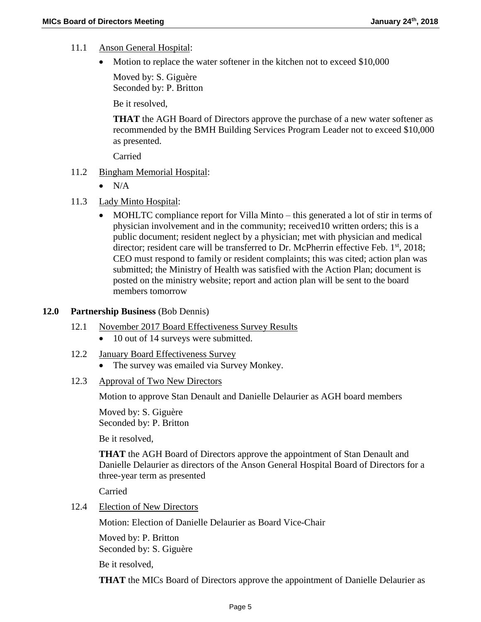- 11.1 Anson General Hospital:
	- Motion to replace the water softener in the kitchen not to exceed \$10,000

Moved by: S. Giguère Seconded by: P. Britton

Be it resolved,

**THAT** the AGH Board of Directors approve the purchase of a new water softener as recommended by the BMH Building Services Program Leader not to exceed \$10,000 as presented.

Carried

- 11.2 Bingham Memorial Hospital:
	- $\bullet$  N/A
- 11.3 Lady Minto Hospital:
	- MOHLTC compliance report for Villa Minto this generated a lot of stir in terms of physician involvement and in the community; received10 written orders; this is a public document; resident neglect by a physician; met with physician and medical director; resident care will be transferred to Dr. McPherrin effective Feb.  $1<sup>st</sup>$ , 2018; CEO must respond to family or resident complaints; this was cited; action plan was submitted; the Ministry of Health was satisfied with the Action Plan; document is posted on the ministry website; report and action plan will be sent to the board members tomorrow

#### **12.0 Partnership Business** (Bob Dennis)

- 12.1 November 2017 Board Effectiveness Survey Results
	- 10 out of 14 surveys were submitted.
- 12.2 January Board Effectiveness Survey
	- The survey was emailed via Survey Monkey.
- 12.3 Approval of Two New Directors

Motion to approve Stan Denault and Danielle Delaurier as AGH board members

Moved by: S. Giguère Seconded by: P. Britton

Be it resolved,

**THAT** the AGH Board of Directors approve the appointment of Stan Denault and Danielle Delaurier as directors of the Anson General Hospital Board of Directors for a three-year term as presented

Carried

12.4 Election of New Directors

Motion: Election of Danielle Delaurier as Board Vice-Chair

Moved by: P. Britton Seconded by: S. Giguère

Be it resolved,

**THAT** the MICs Board of Directors approve the appointment of Danielle Delaurier as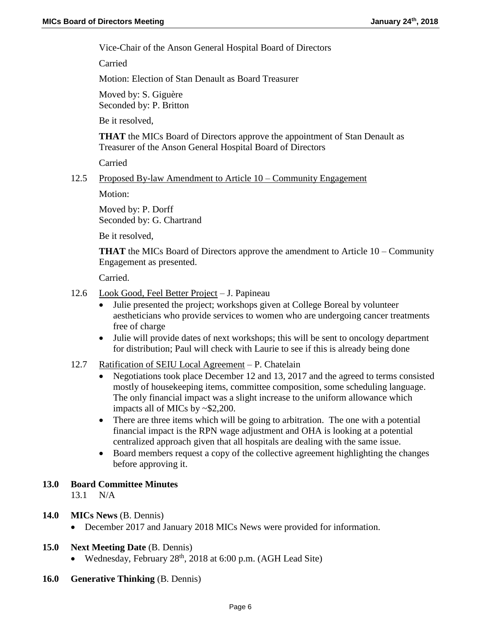Vice-Chair of the Anson General Hospital Board of Directors

Carried

Motion: Election of Stan Denault as Board Treasurer

Moved by: S. Giguère Seconded by: P. Britton

Be it resolved,

**THAT** the MICs Board of Directors approve the appointment of Stan Denault as Treasurer of the Anson General Hospital Board of Directors

Carried

## 12.5 Proposed By-law Amendment to Article 10 – Community Engagement

Motion:

Moved by: P. Dorff Seconded by: G. Chartrand

Be it resolved,

**THAT** the MICs Board of Directors approve the amendment to Article 10 – Community Engagement as presented.

Carried.

- 12.6 Look Good, Feel Better Project J. Papineau
	- Julie presented the project; workshops given at College Boreal by volunteer aestheticians who provide services to women who are undergoing cancer treatments free of charge
	- Julie will provide dates of next workshops; this will be sent to oncology department for distribution; Paul will check with Laurie to see if this is already being done
- 12.7 Ratification of SEIU Local Agreement P. Chatelain
	- Negotiations took place December 12 and 13, 2017 and the agreed to terms consisted mostly of housekeeping items, committee composition, some scheduling language. The only financial impact was a slight increase to the uniform allowance which impacts all of MICs by ~\$2,200.
	- There are three items which will be going to arbitration. The one with a potential financial impact is the RPN wage adjustment and OHA is looking at a potential centralized approach given that all hospitals are dealing with the same issue.
	- Board members request a copy of the collective agreement highlighting the changes before approving it.

# **13.0 Board Committee Minutes**

13.1 N/A

- **14.0 MICs News** (B. Dennis)
	- December 2017 and January 2018 MICs News were provided for information.

## **15.0 Next Meeting Date** (B. Dennis)

- Wednesday, February  $28<sup>th</sup>$ ,  $2018$  at 6:00 p.m. (AGH Lead Site)
- **16.0 Generative Thinking** (B. Dennis)